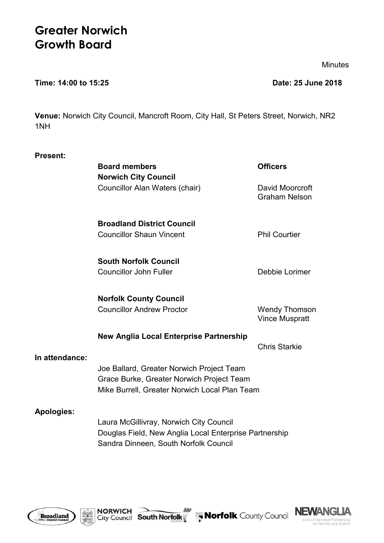# **Greater Norwich Growth Board**

Minutes

#### **Time: 14:00 to 15:25 Date: 25 June 2018**

**Venue:** Norwich City Council, Mancroft Room, City Hall, St Peters Street, Norwich, NR2 1NH

| <b>Present:</b>   |                                                                                                                                            |                                               |
|-------------------|--------------------------------------------------------------------------------------------------------------------------------------------|-----------------------------------------------|
|                   | <b>Board members</b>                                                                                                                       | <b>Officers</b>                               |
|                   | <b>Norwich City Council</b>                                                                                                                |                                               |
|                   | Councillor Alan Waters (chair)                                                                                                             | David Moorcroft<br><b>Graham Nelson</b>       |
|                   | <b>Broadland District Council</b>                                                                                                          |                                               |
|                   | <b>Councillor Shaun Vincent</b>                                                                                                            | <b>Phil Courtier</b>                          |
|                   | <b>South Norfolk Council</b>                                                                                                               |                                               |
|                   | <b>Councillor John Fuller</b>                                                                                                              | Debbie Lorimer                                |
|                   | <b>Norfolk County Council</b>                                                                                                              |                                               |
|                   | <b>Councillor Andrew Proctor</b>                                                                                                           | <b>Wendy Thomson</b><br><b>Vince Muspratt</b> |
|                   | New Anglia Local Enterprise Partnership                                                                                                    |                                               |
| In attendance:    |                                                                                                                                            | <b>Chris Starkie</b>                          |
|                   | Joe Ballard, Greater Norwich Project Team<br>Grace Burke, Greater Norwich Project Team<br>Mike Burrell, Greater Norwich Local Plan Team    |                                               |
| <b>Apologies:</b> | Laura McGillivray, Norwich City Council<br>Douglas Field, New Anglia Local Enterprise Partnership<br>Sandra Dinneen, South Norfolk Council |                                               |





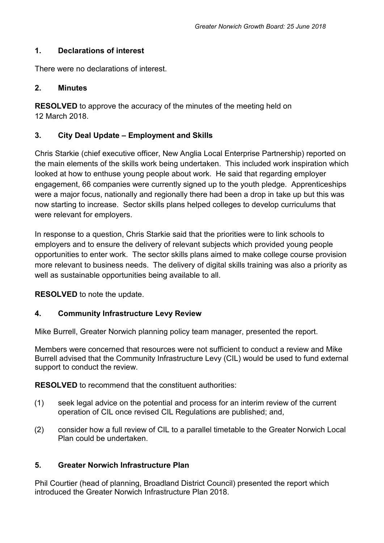#### **1. Declarations of interest**

There were no declarations of interest.

#### **2. Minutes**

**RESOLVED** to approve the accuracy of the minutes of the meeting held on 12 March 2018.

## **3. City Deal Update – Employment and Skills**

Chris Starkie (chief executive officer, New Anglia Local Enterprise Partnership) reported on the main elements of the skills work being undertaken. This included work inspiration which looked at how to enthuse young people about work. He said that regarding employer engagement, 66 companies were currently signed up to the youth pledge. Apprenticeships were a major focus, nationally and regionally there had been a drop in take up but this was now starting to increase. Sector skills plans helped colleges to develop curriculums that were relevant for employers.

In response to a question, Chris Starkie said that the priorities were to link schools to employers and to ensure the delivery of relevant subjects which provided young people opportunities to enter work. The sector skills plans aimed to make college course provision more relevant to business needs. The delivery of digital skills training was also a priority as well as sustainable opportunities being available to all.

**RESOLVED** to note the update.

#### **4. Community Infrastructure Levy Review**

Mike Burrell, Greater Norwich planning policy team manager, presented the report.

Members were concerned that resources were not sufficient to conduct a review and Mike Burrell advised that the Community Infrastructure Levy (CIL) would be used to fund external support to conduct the review.

**RESOLVED** to recommend that the constituent authorities:

- (1) seek legal advice on the potential and process for an interim review of the current operation of CIL once revised CIL Regulations are published; and,
- (2) consider how a full review of CIL to a parallel timetable to the Greater Norwich Local Plan could be undertaken.

#### **5. Greater Norwich Infrastructure Plan**

Phil Courtier (head of planning, Broadland District Council) presented the report which introduced the Greater Norwich Infrastructure Plan 2018.